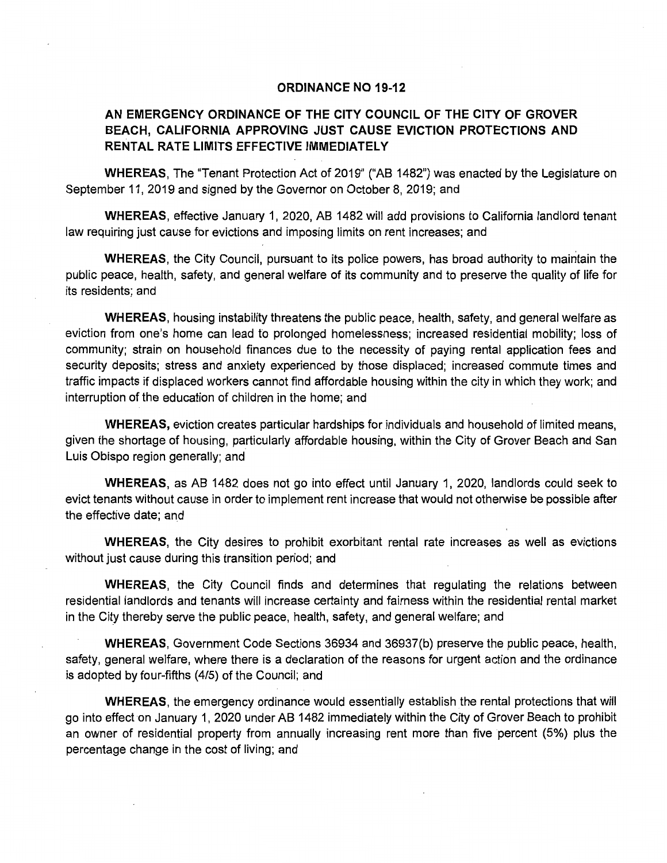## **ORDINANCE NO 19-12**

## **AN EMERGENCY ORDINANCE OF THE CITY COUNCIL OF THE CITY OF GROVER BEACH, CALIFORNIA APPROVING JUST CAUSE EVICTION PROTECTIONS AND RENTAL RATE LIMITS EFFECTIVE IMMEDIATELY**

**WHEREAS,** The "Tenant Protection Act of 2019" ("AB 1482") was enacted by the Legislature on September 11, 2019 and signed by the Governor on October 8, 2019; and

**WHEREAS,** effective January 1, 2020, AB 1482 will add provisions to California landlord tenant law requiring just cause for evictions and imposing limits on rent increases; and

**WHEREAS,** the City Council, pursuant to its police powers, has broad authority to maintain the public peace, health, safety, and general welfare of its community and to preserve the quality of life for its residents; and

**WHEREAS,** housing instability threatens the public peace, health, safety, and general welfare as eviction from one's home can lead to prolonged homelessness; increased residential mobility; loss of community; strain on household finances due to the necessity of paying rental application fees and security deposits; stress and anxiety experienced by those displaced; increased commute times and traffic impacts if displaced workers cannot find affordable housing within the city in which they work; and interruption of the education of children in the home; and

**WHEREAS,** eviction creates particular hardships for individuals and household of limited means, given the shortage of housing, particularly affordable housing, within the City of Grover Beach and San Luis Obispo region generally; and

**WHEREAS,** as AB 1482 does not go into effect until January 1, 2020, landlords could seek to evict tenants without cause in order to implement rent increase that would not otherwise be possible after the effective date; and

**WHEREAS,** the City desires to prohibit exorbitant rental rate increases as well as evictions without just cause during this transition period; and

**WHEREAS,** the City Council finds and determines that regulating the relations between residential landlords and tenants will increase certainty and fairness within the residential rental market in the City thereby serve the public peace, health, safety, and general welfare; and

**WHEREAS,** Government Code Sections 36934 and 36937(b) preserve the public peace, health, safety, general welfare, where there is a declaration of the reasons for urgent action and the ordinance is adopted by four-fifths (4/5) of the Council; and

**WHEREAS,** the emergency ordinance would essentially establish the rental protections that will go into effect on January 1, 2020 under AB 1482 immediately within the City of Grover Beach to prohibit an owner of residential property from annually increasing rent more than five percent (5%) plus the percentage change in the cost of living; and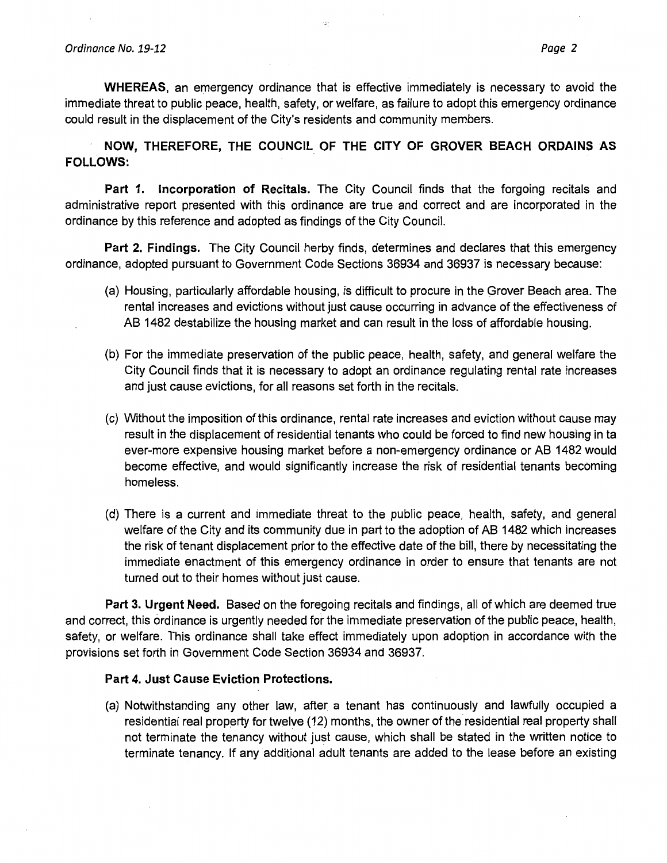**WHEREAS,** an emergency ordinance that is effective immediately is necessary to avoid the immediate threat to public peace, health, safety, or welfare, as failure to adopt this emergency ordinance could result in the displacement of the City's residents and community members.

**NOW, THEREFORE, THE COUNCIL OF THE CITY OF GROVER BEACH ORDAINS AS FOLLOWS:** 

**Part 1. Incorporation of Recitals.** The City Council finds that the forgoing recitals and administrative report presented with this ordinance are true and correct and are incorporated in the ordinance by this reference and adopted as findings of the City Council.

**Part 2. Findings.** The City Council herby finds, determines and declares that this emergency ordinance, adopted pursuant to Government Code Sections 36934 and 36937 is necessary because:

- (a) Housing, particularly affordable housing, is difficult to procure in the Grover Beach area. The rental increases and evictions without just cause occurring in advance of the effectiveness of AB 1482 destabilize the housing market and can result in the loss of affordable housing.
- (b) For the immediate preservation of the public peace, health, safety, and general welfare the City Council finds that it is necessary to adopt an ordinance regulating rental rate increases and just cause evictions, for all reasons set forth in the recitals.
- (c) Without the imposition of this ordinance, rental rate increases and eviction without cause may result in the displacement of residential tenants who could be forced to find new housing in ta ever-more expensive housing market before a non-emergency ordinance or AB 1482 would become effective, and would significantly increase the risk of residential tenants becoming homeless.
- (d) There is a current and immediate threat to the public peace, health, safety, and general welfare of the City and its community due in part to the adoption of AB 1482 which increases the risk of tenant displacement prior to the effective date of the bill, there by necessitating the immediate enactment of this emergency ordinance in order to ensure that tenants are not turned out to their homes without just cause.

**Part 3. Urgent Need.** Based on the foregoing recitals and findings, all of which are deemed true and correct, this ordinance is urgently needed for the immediate preservation of the public peace, health, safety, or welfare. This ordinance shall take effect immediately upon adoption in accordance with the provisions set forth in Government Code Section 36934 and 36937.

## **Part 4. Just Cause Eviction Protections.**

(a) Notwithstanding any other law, after a tenant has continuously and lawfully occupied a residential real property for twelve (12) months, the owner of the residential real property shall not terminate the tenancy without just cause, which shall be stated in the written notice to terminate tenancy. If any additional adult tenants are added to the lease before an existing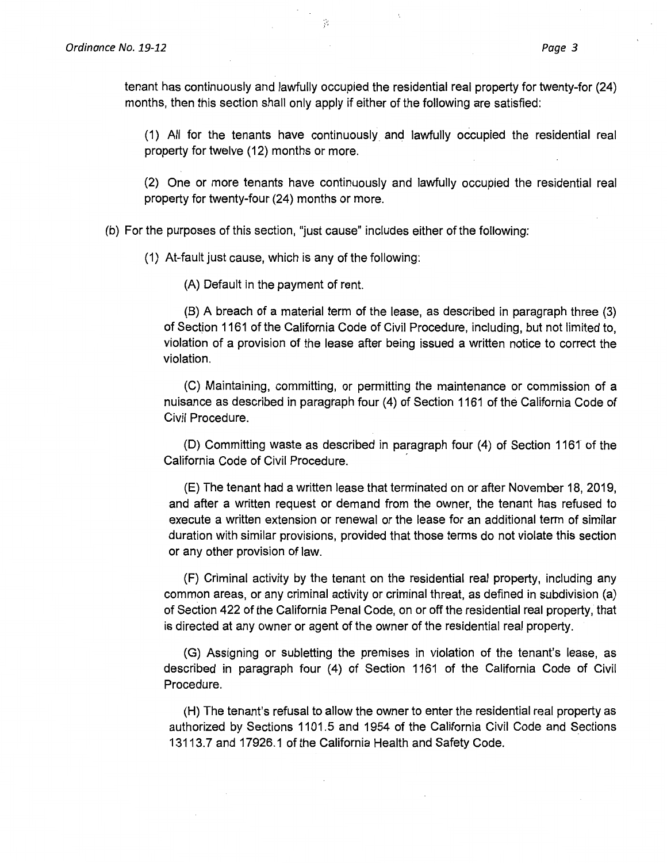tenant has continuously and lawfully occupied the residential real property for twenty-for (24) months, then this section shall only apply if either of the following are satisfied:

(1) All for the tenants have continuously and lawfully occupied the residential real property for twelve (12) months or more.

(2) One or more tenants have continuously and lawfully occupied the residential real property for twenty-four (24) months or more.

(b) For the purposes of this section, "just cause" includes either of the following:

·· .. ~ J

(1) At-fault just cause, which is any of the following:

(A) Default in the payment of rent.

(B) A breach of a material term of the lease, as described in paragraph three (3) of Section 1161 of the California Code of Civil Procedure, including, but not limited to, violation of a provision of the lease after being issued a written notice to correct the violation.

(C) Maintaining, committing, or permitting the maintenance or commission of a nuisance as described in paragraph four (4) of Section 1161 of the California Code of Civil Procedure.

(D) Committing waste as described in paragraph four (4) of Section 1161 of the California Code of Civil Procedure. ,

(E) The tenant had a written lease that terminated on or after November 18, 2019, and after a written request or demand from the owner, the tenant has refused to execute a written extension or renewal or the lease for an additional term of similar duration with similar provisions, provided that those terms do not violate this section or any other provision of law.

(F) Criminal activity by the tenant on the residential real property, including any common areas, or any criminal activity or criminal threat, as defined in subdivision (a) of Section 422 of the California Penal Code, on or off the residential real property, that is directed at any owner or agent of the owner of the residential real property.

(G) Assigning or subletting the premises in violation of the tenant's lease, as described in paragraph four (4) of Section 1161 of the California Code of Civil Procedure.

(H) The tenant's refusal to allow the owner to enter the residential real property as authorized by Sections 1101.5 and 1954 of the California Civil Code and Sections 13113. 7 and 17926.1 of the California Health and Safety Code.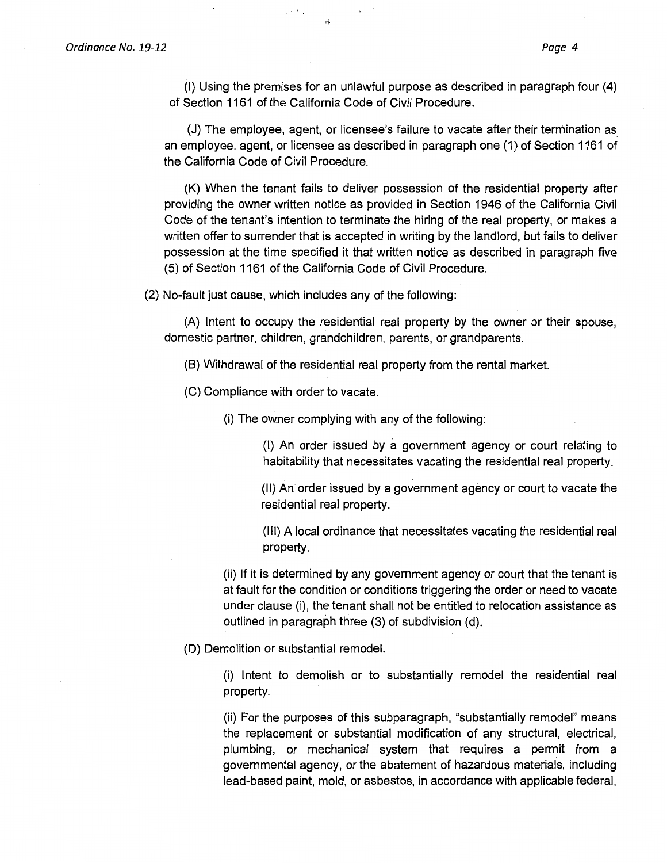(I) Using the premises for an unlawful purpose as described in paragraph four (4) of Section 1161 of the California Code of Civil Procedure.

(J) The employee, agent, or licensee's failure to vacate after their termination as an employee, agent, or licensee as described in paragraph one (1) of Section 1161 of the California Code of Civil Procedure.

(K) When the tenant fails to deliver possession of the residential property after providing the owner written notice as provided in Section 1946 of the California Civil Code of the tenant's intention to terminate the hiring of the real property, or makes a written offer to surrender that is accepted in writing by the landlord, but fails to deliver possession at the time specified it that written notice as described in paragraph five (5) of Section 1161 of the California Code of Civil Procedure.

(2) No-fault just cause, which includes any of the following:

 $\tau \sim 2\pi$  .

(A) Intent to occupy the residential real property by the owner or their spouse, domestic partner, children, grandchildren, parents, or grandparents.

(B) Withdrawal of the residential real property from the rental market.

(C) Compliance with order to vacate.

(i) The owner complying with any of the following:

(I) An order issued by a government agency or court relating to habitability that necessitates vacating the residential real property.

(II) An order issued by a government agency or court to vacate the residential real property.

(Ill) A local ordinance that necessitates vacating the residential real property.

(ii) If it is determined by any government agency or court that the tenant is at fault for the condition or conditions triggering the order or need to vacate under clause (i), the tenant shall not be entitled to relocation assistance as outlined in paragraph three (3) of subdivision (d).

(D) Demolition or substantial remodel.

(i) Intent to demolish or to substantially remodel the residential real property.

(ii) For the purposes of this subparagraph, "substantially remodel" means the replacement or substantial modification of any structural, electrical, plumbing, or mechanical system that requires a permit from a governmental agency, or the abatement of hazardous materials, including lead-based paint, mold, or asbestos, in accordance with applicable federal,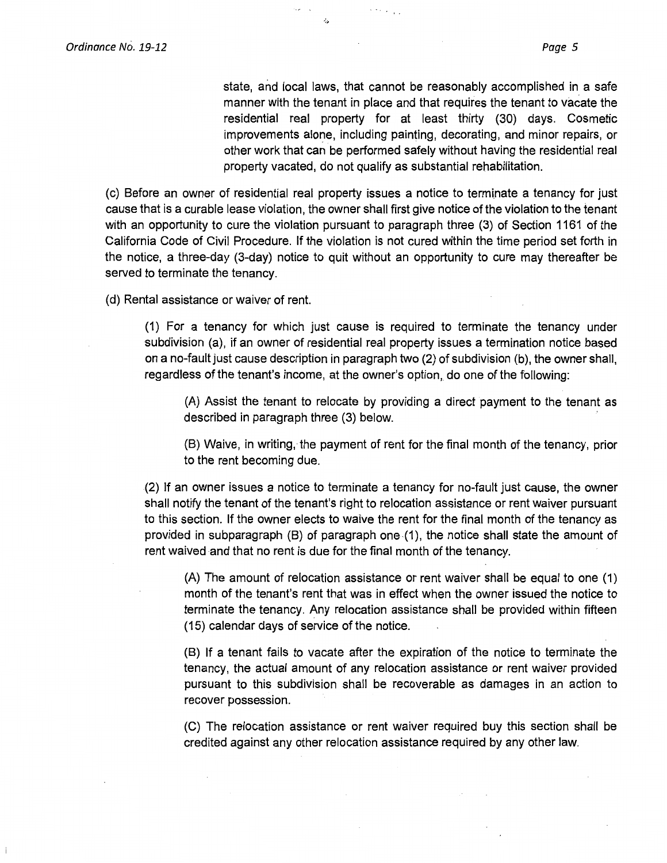state, and local laws, that cannot be reasonably accomplished in a safe manner with the tenant in place and that requires the tenant to vacate the residential real property for at least thirty (30) days. Cosmetic improvements alone, including painting, decorating, and minor repairs, or other work that can be performed safely without having the residential real property vacated, do not qualify as substantial rehabilitation.

(c) Before an owner of residential real property issues a notice to terminate a tenancy for just cause that is a curable lease violation, the owner shall first give notice of the violation to the tenant with an opportunity to cure the violation pursuant to paragraph three (3) of Section 1161 of the California Code of Civil Procedure. If the violation is not cured within the time period set forth in the notice, a three-day (3-day) notice to quit without an opportunity to cure may thereafter be served to terminate the tenancy.

( d) Rental assistance or waiver of rent.

(1) For a tenancy for which just cause is required to terminate the tenancy under subdivision (a), if an owner of residential real property issues a termination notice based on a no-fault just cause description in paragraph two (2) of subdivision (b), the owner shall, regardless of the tenant's income, at the owner's option, do one of the following:

(A) Assist the tenant to relocate by providing a direct payment to the tenant as described in paragraph three (3) below.

(B) Waive, in writing, the payment of rent for the final month of the tenancy, prior to the rent becoming due.

(2) If an owner issues a notice to terminate a tenancy for no-fault just cause, the owner shall notify the tenant of the tenant's right to relocation assistance or rent waiver pursuant to this section. If the owner elects to waive the rent for the final month of the tenancy as provided in subparagraph (B) of paragraph one-(1), the notice shall state the amount of rent waived and that no rent is due for the final month of the tenancy.

(A) The amount of relocation assistance or rent waiver shall be equal to one (1) month of the tenant's rent that was in effect when the owner issued the notice to terminate the tenancy. Any relocation assistance shall be provided within fifteen (15) calendar days of service of the notice.

(B) If a tenant fails to vacate after the expiration of the notice to terminate the tenancy, the actual amount of any relocation assistance or rent waiver provided pursuant to this subdivision shall be recoverable as damages in an action to recover possession.

(C) The relocation assistance or rent waiver required buy this section shall be credited against any other relocation assistance required by any other law.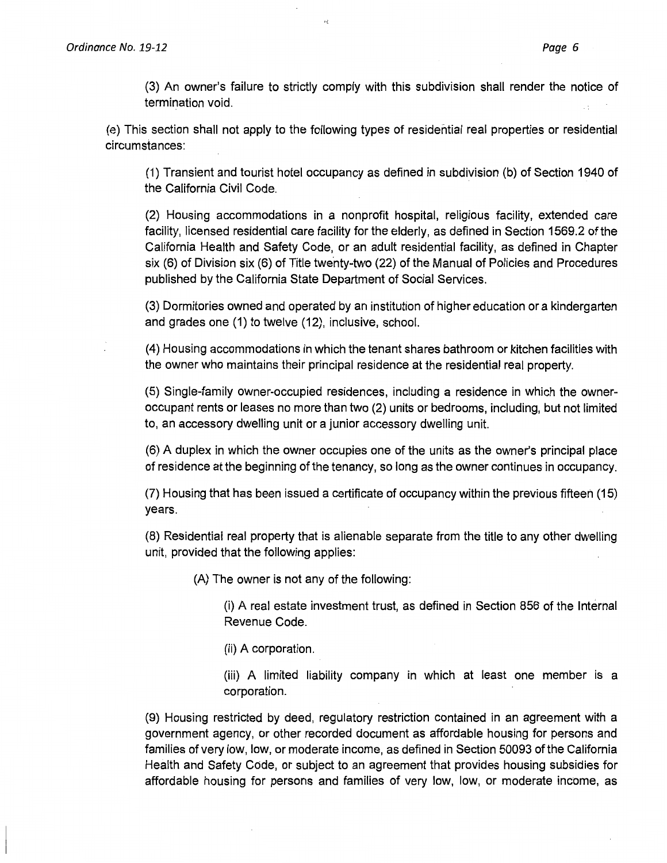(3) An owner's failure to strictly comply with this subdivision shall render the notice of termination void.

(e) This section shall not apply to the following types of residential real properties or residential circumstances:

(1) Transient and tourist hotel occupancy as defined in subdivision (b) of Section 1940 of the California Civil Code.

(2) Housing accommodations in a nonprofit hospital, religious facility, extended care facility, licensed residential care facility for the elderly, as defined in Section 1569.2 of the California Health and Safety Code, or an adult residential facility, as defined in Chapter six (6) of Division six (6) of Title twenty-two (22) of the Manual of Policies and Procedures published by the California State Department of Social Services.

(3) Dormitories owned and operated by an institution of higher education or a kindergarten and grades one (1) to twelve (12), inclusive, school.

(4) Housing accommodations in which the tenant shares bathroom or kitchen facilities with the owner who maintains their principal residence at the residential real property.

(5) Single-family owner-occupied residences, including a residence in which the owneroccupant rents or leases no more than two (2) units or bedrooms, including, but not limited to, an accessory dwelling unit or a junior accessory dwelling unit.

(6) A duplex in which the owner occupies one of the units as the owner's principal place of residence at the beginning of the tenancy, so long as the owner continues in occupancy.

(7) Housing that has been issued a certificate of occupancy within the previous fifteen (15) years.

(8) Residential real property that is alienable separate from the title to any other dwelling unit, provided that the following applies:

(A) The owner is not any of the following:

(i) A real estate investment trust, as defined in Section 856 of the Internal Revenue Code.

(ii) A corporation.

(iii) A limited liability company in which at least one member is a corporation.

(9) Housing restricted by deed, regulatory restriction contained in an agreement with a government agency, or other recorded document as affordable housing for persons and families of very low, low, or moderate income, as defined in Section 50093 of the California Health and Safety Code, or subject to an agreement that provides housing subsidies for affordable housing for persons and families of very low, low, or moderate income, as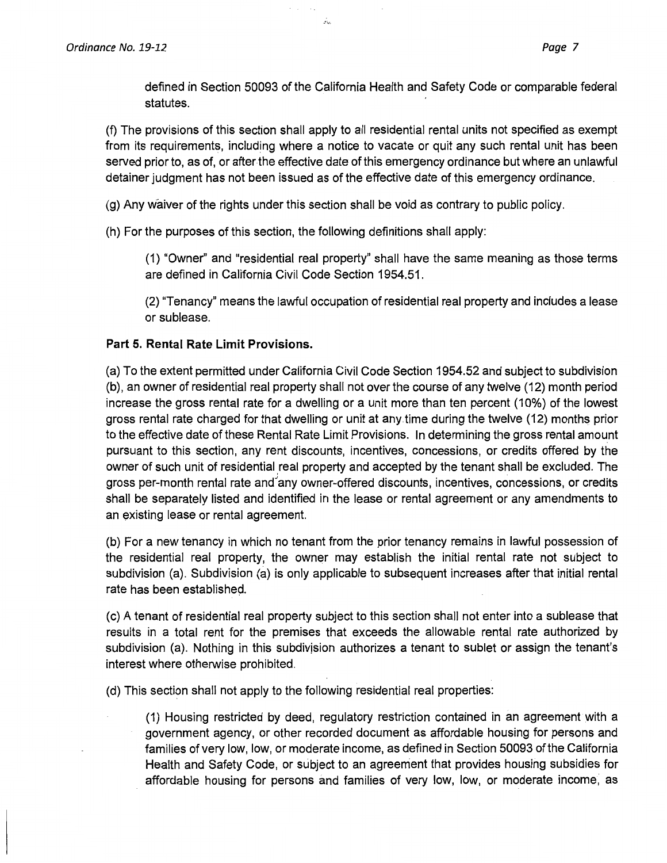defined in Section 50093 of the California Health and Safety Code or comparable federal statutes.

(f) The provisions of this section shall apply to all residential rental units not specified as exempt from its requirements, including where a notice to vacate or quit any such rental unit has been served prior to, as of, or after the effective date of this emergency ordinance but where an unlawful detainer judgment has not been issued as of the effective date of this emergency ordinance.

(g) Any waiver of the rights under this section shall be void as contrary to public policy.

(h) For the purposes of this section, the following definitions shall apply:

 $\gamma$  ,  $\gamma$  ,  $\gamma$  ,

بنأو

(1) "Owner'' and "residential real property" shall have the same meaning as those terms are defined in California Civil Code Section 1954.51.

(2) "Tenancy" means the lawful occupation of residential real property and includes a lease or sublease.

## **Part 5. Rental Rate Limit Provisions.**

(a) To the extent permitted under California Civil Code Section 1954.52 and subject to subdivision (b), an owner of residential real property shall not over the course of any twelve ( 12) month period increase the gross rental rate for a dwelling or a unit more than ten percent (10%) of the lowest gross rental rate charged for that dwelling or unit at any.time during the twelve (12) months prior to the effective date of these Rental Rate Limit Provisions. In determining the gross rental amount pursuant to this section, any rent discounts, incentives, concessions, or credits offered by the owner of such unit of residential real property and accepted by the tenant shall be excluded. The gross per-month rental rate and any owner-offered discounts, incentives, concessions, or credits shall be separately listed and identified in the lease or rental agreement or any amendments to an existing lease or rental agreement.

(b) For a new tenancy in which no tenant from the prior tenancy remains in lawful possession of the residential real property, the owner may establish the initial rental rate not subject to subdivision (a). Subdivision (a) is only applicable to subsequent increases after that initial rental rate has been established.

(c) A tenant of residential real property subject to this section shall not enter into a sublease that results in a total rent for the premises that exceeds the allowable rental rate authorized by subdivision (a). Nothing in this subdivision authorizes a tenant to sublet or assign the tenant's interest where otherwise prohibited.

(d) This section shall not apply to the following residential real properties:

(1) Housing restricted by deed, regulatory restriction contained in an agreement with a government agency, or other recorded document as affordable housing for persons and families of very low, low, or moderate income, as defined in Section 50093 of the California Health and Safety Code, or subject to an agreement that provides housing subsidies for affordable housing for persons and families of very low, low, or moderate income, as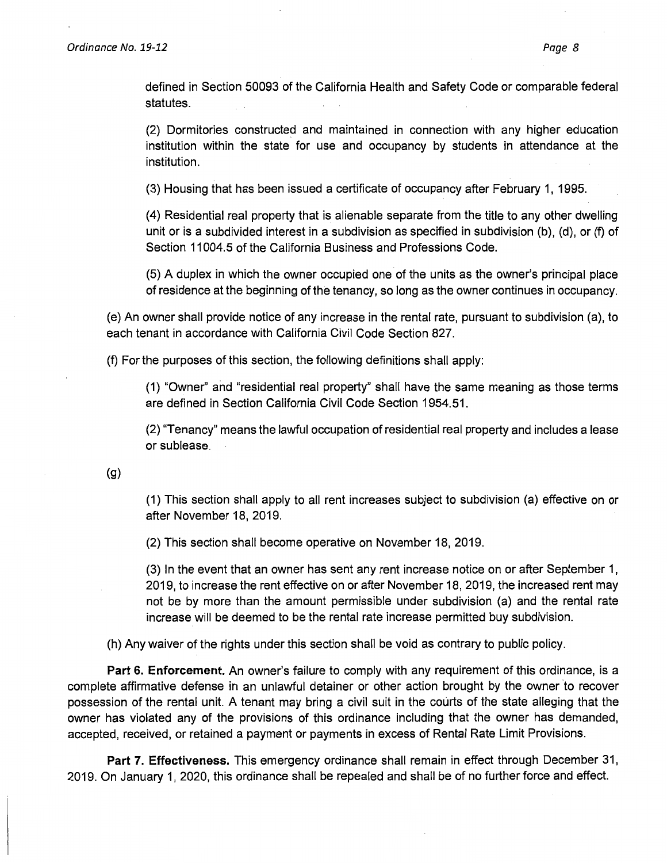defined in Section 50093 of the California Health and Safety Code or comparable federal statutes.

(2) Dormitories constructed and maintained in connection with any higher education institution within the state for use and occupancy by students in attendance at the institution.

(3) Housing that has been issued a certificate of occupancy after February 1, 1995.

(4) Residential real property that is alienable separate from the title to any other dwelling unit or is a subdivided interest in a subdivision as specified in subdivision (b), (d), or (f) of Section 11004.5 of the California Business and Professions Code.

(5) A duplex in which the owner occupied one of the units as the owner's principal place of residence at the beginning of the tenancy, so long as the owner continues in occupancy.

(e) An owner shall provide notice of any increase in the rental rate, pursuant to subdivision (a), to each tenant in accordance with California Civil Code Section 827.

(f) For the purposes of this section, the following definitions shall apply:

(1) "Owner" and "residential real property" shall have the same meaning as those terms are defined in Section California Civil Code Section 1954.51.

(2) "Tenancy" means the lawful occupation of residential real property and includes a lease or sublease.

(g)

(1) This section shall apply to all rent increases subject to subdivision (a) effective on or after November 18, 2019.

(2) This section shall become operative on November 18, 2019.

(3) In the event that an owner has sent any rent increase notice on or after September 1, 2019, to increase the rent effective on or after November 18, 2019, the increased rent may not be by more than the amount permissible under subdivision (a) and the rental rate increase will be deemed to be the rental rate increase permitted buy subdivision.

(h) Any waiver of the rights under this section shall be void as contrary to public policy.

**Part 6. Enforcement.** An owner's failure to comply with any requirement of this ordinance, is a complete affirmative defense in an unlawful detainer or other action brought by the owner 'to recover possession of the rental unit. A tenant may bring a civil suit in the courts of the state alleging that the owner has violated any of the provisions of this ordinance including that the owner has demanded, accepted, received, or retained a payment or payments in excess of Rental Rate Limit Provisions.

**Part 7. Effectiveness.** This emergency ordinance shall remain in effect through December 31, 2019. On January 1, 2020, this ordinance shall be repealed and shall be of no further force and effect.